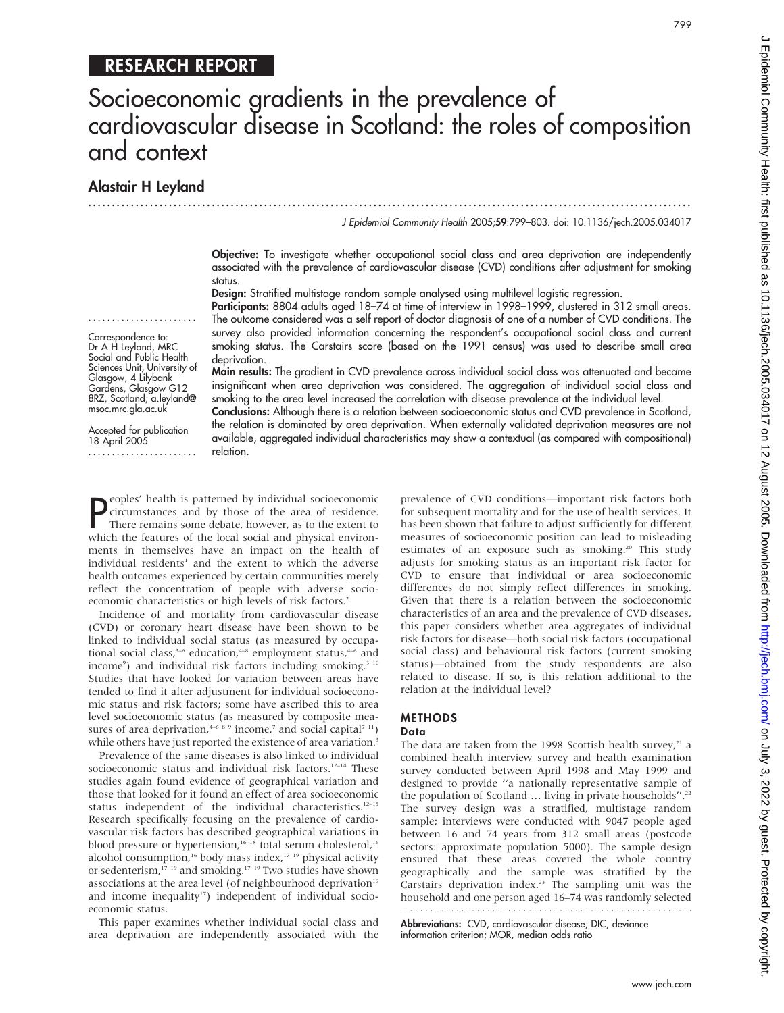# RESEARCH REPORT

# Socioeconomic gradients in the prevalence of cardiovascular disease in Scotland: the roles of composition and context

...............................................................................................................................

Alastair H Leyland

....................... Correspondence to: Dr A H Leyland, MRC Social and Public Health Sciences Unit, University of Glasgow, 4 Lilybank Gardens, Glasgow G12 8RZ, Scotland; a.leyland@ msoc.mrc.gla.ac.uk Accepted for publication 18 April 2005

.......................

J Epidemiol Community Health 2005;59:799–803. doi: 10.1136/jech.2005.034017

Objective: To investigate whether occupational social class and area deprivation are independently associated with the prevalence of cardiovascular disease (CVD) conditions after adjustment for smoking status.

Design: Stratified multistage random sample analysed using multilevel logistic regression.

Participants: 8804 adults aged 18–74 at time of interview in 1998–1999, clustered in 312 small areas. The outcome considered was a self report of doctor diagnosis of one of a number of CVD conditions. The survey also provided information concerning the respondent's occupational social class and current smoking status. The Carstairs score (based on the 1991 census) was used to describe small area deprivation.

Main results: The gradient in CVD prevalence across individual social class was attenuated and became insignificant when area deprivation was considered. The aggregation of individual social class and smoking to the area level increased the correlation with disease prevalence at the individual level.

Conclusions: Although there is a relation between socioeconomic status and CVD prevalence in Scotland, the relation is dominated by area deprivation. When externally validated deprivation measures are not available, aggregated individual characteristics may show a contextual (as compared with compositional) relation.

**P** eoples' health is patterned by individual socioeconomic<br>
circumstances and by those of the area of residence.<br>
There remains some debate, however, as to the extent to<br>
which the features of the local social and physica circumstances and by those of the area of residence. There remains some debate, however, as to the extent to which the features of the local social and physical environments in themselves have an impact on the health of individual residents<sup>1</sup> and the extent to which the adverse health outcomes experienced by certain communities merely reflect the concentration of people with adverse socioeconomic characteristics or high levels of risk factors.<sup>2</sup>

Incidence of and mortality from cardiovascular disease (CVD) or coronary heart disease have been shown to be linked to individual social status (as measured by occupational social class,<sup>3-6</sup> education,<sup>4-8</sup> employment status,<sup>4-6</sup> and income<sup>9</sup>) and individual risk factors including smoking.<sup>3 10</sup> Studies that have looked for variation between areas have tended to find it after adjustment for individual socioeconomic status and risk factors; some have ascribed this to area level socioeconomic status (as measured by composite measures of area deprivation,<sup>4-6 8</sup> 9 income,<sup>7</sup> and social capital<sup>7 11</sup>) while others have just reported the existence of area variation.<sup>3</sup>

Prevalence of the same diseases is also linked to individual socioeconomic status and individual risk factors.<sup>12-14</sup> These studies again found evidence of geographical variation and those that looked for it found an effect of area socioeconomic status independent of the individual characteristics.<sup>12-15</sup> Research specifically focusing on the prevalence of cardiovascular risk factors has described geographical variations in blood pressure or hypertension,<sup>16–18</sup> total serum cholesterol,<sup>16</sup> alcohol consumption,<sup>16</sup> body mass index,<sup>17</sup> <sup>19</sup> physical activity or sedenterism,<sup>17 19</sup> and smoking.<sup>17 19</sup> Two studies have shown associations at the area level (of neighbourhood deprivation<sup>19</sup> and income inequality<sup>17</sup>) independent of individual socioeconomic status.

This paper examines whether individual social class and area deprivation are independently associated with the prevalence of CVD conditions—important risk factors both for subsequent mortality and for the use of health services. It has been shown that failure to adjust sufficiently for different measures of socioeconomic position can lead to misleading estimates of an exposure such as smoking.<sup>20</sup> This study adjusts for smoking status as an important risk factor for CVD to ensure that individual or area socioeconomic differences do not simply reflect differences in smoking. Given that there is a relation between the socioeconomic characteristics of an area and the prevalence of CVD diseases, this paper considers whether area aggregates of individual risk factors for disease—both social risk factors (occupational social class) and behavioural risk factors (current smoking status)—obtained from the study respondents are also related to disease. If so, is this relation additional to the relation at the individual level?

#### METHODS Data

The data are taken from the 1998 Scottish health survey, $21$  a combined health interview survey and health examination survey conducted between April 1998 and May 1999 and designed to provide ''a nationally representative sample of the population of Scotland ... living in private households".<sup>22</sup> The survey design was a stratified, multistage random sample; interviews were conducted with 9047 people aged between 16 and 74 years from 312 small areas (postcode sectors: approximate population 5000). The sample design ensured that these areas covered the whole country geographically and the sample was stratified by the Carstairs deprivation index.23 The sampling unit was the household and one person aged 16–74 was randomly selected 

Abbreviations: CVD, cardiovascular disease; DIC, deviance information criterion; MOR, median odds ratio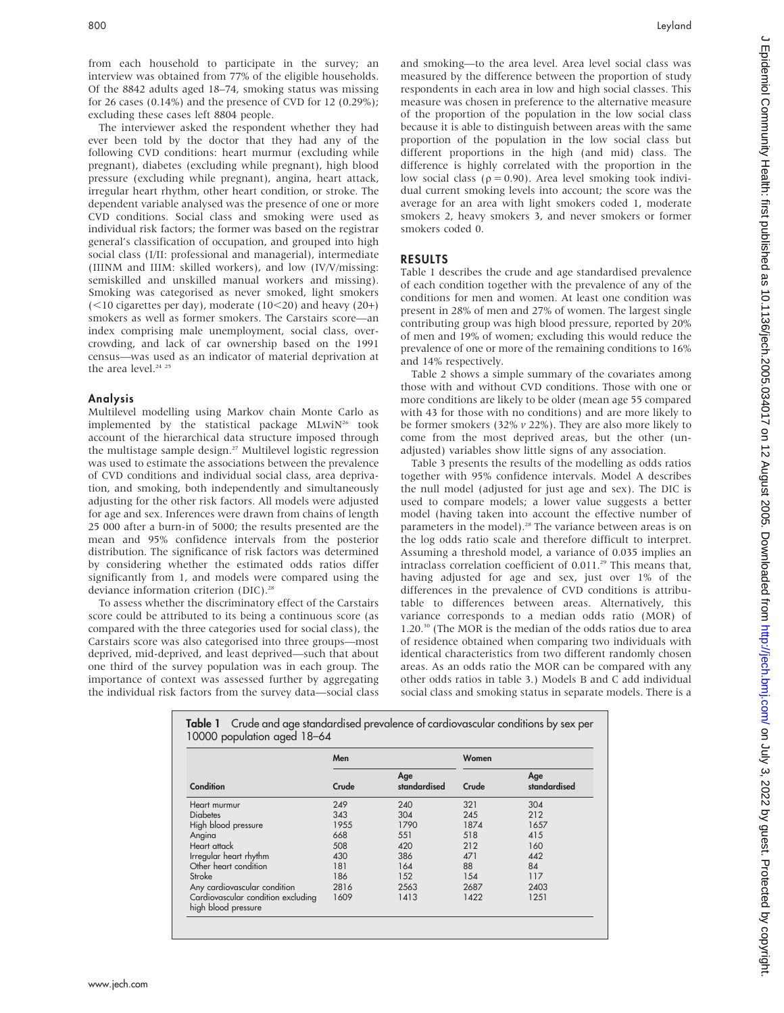from each household to participate in the survey; an interview was obtained from 77% of the eligible households. Of the 8842 adults aged 18–74, smoking status was missing for 26 cases (0.14%) and the presence of CVD for 12 (0.29%); excluding these cases left 8804 people.

The interviewer asked the respondent whether they had ever been told by the doctor that they had any of the following CVD conditions: heart murmur (excluding while pregnant), diabetes (excluding while pregnant), high blood pressure (excluding while pregnant), angina, heart attack, irregular heart rhythm, other heart condition, or stroke. The dependent variable analysed was the presence of one or more CVD conditions. Social class and smoking were used as individual risk factors; the former was based on the registrar general's classification of occupation, and grouped into high social class (I/II: professional and managerial), intermediate (IIINM and IIIM: skilled workers), and low (IV/V/missing: semiskilled and unskilled manual workers and missing). Smoking was categorised as never smoked, light smokers  $(<$ 10 cigarettes per day), moderate (10 $<$ 20) and heavy (20+) smokers as well as former smokers. The Carstairs score—an index comprising male unemployment, social class, overcrowding, and lack of car ownership based on the 1991 census—was used as an indicator of material deprivation at the area level.<sup>24 25</sup>

#### Analysis

Multilevel modelling using Markov chain Monte Carlo as implemented by the statistical package  $MLwiN<sup>26</sup>$  took account of the hierarchical data structure imposed through the multistage sample design.<sup>27</sup> Multilevel logistic regression was used to estimate the associations between the prevalence of CVD conditions and individual social class, area deprivation, and smoking, both independently and simultaneously adjusting for the other risk factors. All models were adjusted for age and sex. Inferences were drawn from chains of length 25 000 after a burn-in of 5000; the results presented are the mean and 95% confidence intervals from the posterior distribution. The significance of risk factors was determined by considering whether the estimated odds ratios differ significantly from 1, and models were compared using the deviance information criterion (DIC).<sup>28</sup>

To assess whether the discriminatory effect of the Carstairs score could be attributed to its being a continuous score (as compared with the three categories used for social class), the Carstairs score was also categorised into three groups—most deprived, mid-deprived, and least deprived—such that about one third of the survey population was in each group. The importance of context was assessed further by aggregating the individual risk factors from the survey data—social class and smoking—to the area level. Area level social class was measured by the difference between the proportion of study respondents in each area in low and high social classes. This measure was chosen in preference to the alternative measure of the proportion of the population in the low social class because it is able to distinguish between areas with the same proportion of the population in the low social class but different proportions in the high (and mid) class. The difference is highly correlated with the proportion in the low social class ( $\rho = 0.90$ ). Area level smoking took individual current smoking levels into account; the score was the average for an area with light smokers coded 1, moderate smokers 2, heavy smokers 3, and never smokers or former smokers coded 0.

#### RESULTS

Table 1 describes the crude and age standardised prevalence of each condition together with the prevalence of any of the conditions for men and women. At least one condition was present in 28% of men and 27% of women. The largest single contributing group was high blood pressure, reported by 20% of men and 19% of women; excluding this would reduce the prevalence of one or more of the remaining conditions to 16% and 14% respectively.

Table 2 shows a simple summary of the covariates among those with and without CVD conditions. Those with one or more conditions are likely to be older (mean age 55 compared with 43 for those with no conditions) and are more likely to be former smokers (32%  $v$  22%). They are also more likely to come from the most deprived areas, but the other (unadjusted) variables show little signs of any association.

Table 3 presents the results of the modelling as odds ratios together with 95% confidence intervals. Model A describes the null model (adjusted for just age and sex). The DIC is used to compare models; a lower value suggests a better model (having taken into account the effective number of parameters in the model).<sup>28</sup> The variance between areas is on the log odds ratio scale and therefore difficult to interpret. Assuming a threshold model, a variance of 0.035 implies an intraclass correlation coefficient of 0.011.<sup>29</sup> This means that, having adjusted for age and sex, just over 1% of the differences in the prevalence of CVD conditions is attributable to differences between areas. Alternatively, this variance corresponds to a median odds ratio (MOR) of 1.20.30 (The MOR is the median of the odds ratios due to area of residence obtained when comparing two individuals with identical characteristics from two different randomly chosen areas. As an odds ratio the MOR can be compared with any other odds ratios in table 3.) Models B and C add individual social class and smoking status in separate models. There is a

|                                                           | Men   |                     | Women |                     |  |
|-----------------------------------------------------------|-------|---------------------|-------|---------------------|--|
| Condition                                                 | Crude | Age<br>standardised | Crude | Age<br>standardised |  |
| Heart murmur                                              | 249   | 240                 | 321   | 304                 |  |
| <b>Diabetes</b>                                           | 343   | 304                 | 245   | 212                 |  |
| High blood pressure                                       | 1955  | 1790                | 1874  | 1657                |  |
| Angina                                                    | 668   | 551                 | 518   | 415                 |  |
| Heart attack                                              | 508   | 420                 | 212   | 160                 |  |
| Irregular heart rhythm                                    | 430   | 386                 | 471   | 442                 |  |
| Other heart condition                                     | 181   | 164                 | 88    | 84                  |  |
| Stroke                                                    | 186   | 152                 | 154   | 117                 |  |
| Any cardiovascular condition                              | 2816  | 2563                | 2687  | 2403                |  |
| Cardiovascular condition excluding<br>high blood pressure | 1609  | 1413                | 1422  | 1251                |  |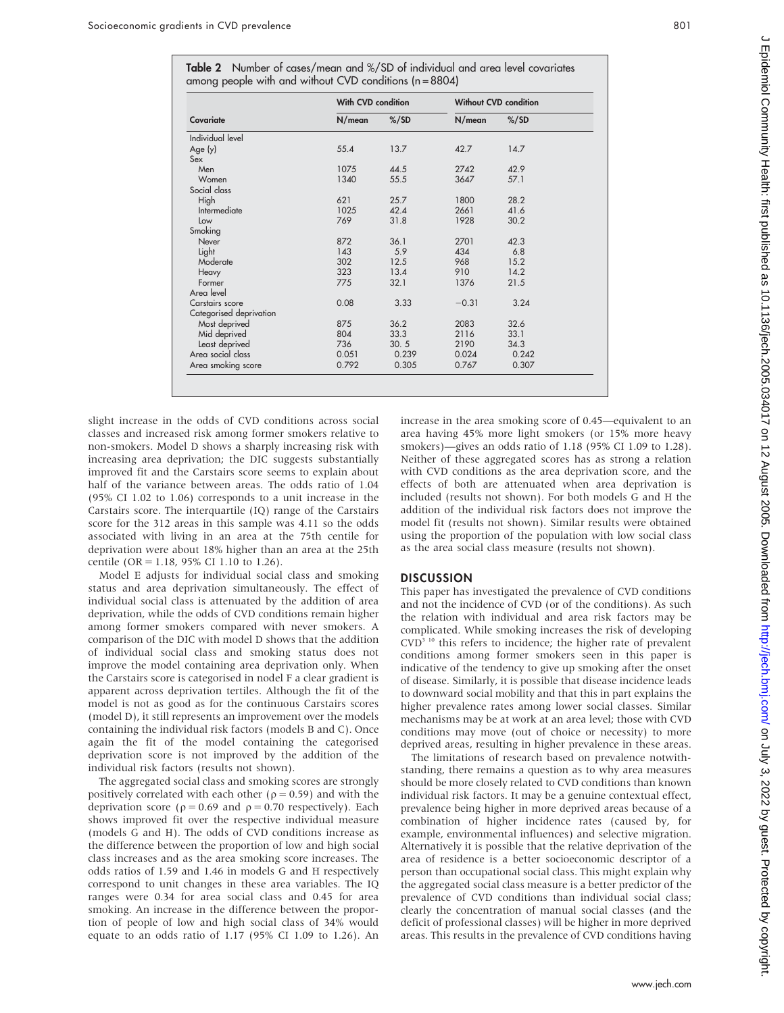Table 2 Number of cases/mean and %/SD of individual and area level covariates among people with and without CVD conditions (n = 8804)

|                         | With CVD condition |                 | <b>Without CVD condition</b> |                 |  |
|-------------------------|--------------------|-----------------|------------------------------|-----------------|--|
| Covariate               | N/mean             | $\frac{\%}{SD}$ | N/mean                       | $\frac{\%}{SD}$ |  |
| Individual level        |                    |                 |                              |                 |  |
| Age(y)                  | 55.4               | 13.7            | 42.7                         | 14.7            |  |
| Sex                     |                    |                 |                              |                 |  |
| Men                     | 1075               | 44.5            | 2742                         | 42.9            |  |
| Women                   | 1340               | 55.5            | 3647                         | 57.1            |  |
| Social class            |                    |                 |                              |                 |  |
| High                    | 621                | 25.7            | 1800                         | 28.2            |  |
| Intermediate            | 1025               | 42.4            | 2661                         | 41.6            |  |
| Low                     | 769                | 31.8            | 1928                         | 30.2            |  |
| Smoking                 |                    |                 |                              |                 |  |
| Never                   | 872                | 36.1            | 2701                         | 42.3            |  |
| Light                   | 143                | 5.9             | 434                          | 6.8             |  |
| Moderate                | 302                | 12.5            | 968                          | 15.2            |  |
| Heavy                   | 323                | 13.4            | 910                          | 14.2            |  |
| Former                  | 775                | 32.1            | 1376                         | 21.5            |  |
| Area level              |                    |                 |                              |                 |  |
| Carstairs score         | 0.08               | 3.33            | $-0.31$                      | 3.24            |  |
| Categorised deprivation |                    |                 |                              |                 |  |
| Most deprived           | 875                | 36.2            | 2083                         | 32.6            |  |
| Mid deprived            | 804                | 33.3            | 2116                         | 33.1            |  |
| Least deprived          | 736                | 30.5            | 2190                         | 34.3            |  |
| Area social class       | 0.051              | 0.239           | 0.024                        | 0.242           |  |
| Area smoking score      | 0.792              | 0.305           | 0.767                        | 0.307           |  |

slight increase in the odds of CVD conditions across social classes and increased risk among former smokers relative to non-smokers. Model D shows a sharply increasing risk with increasing area deprivation; the DIC suggests substantially improved fit and the Carstairs score seems to explain about half of the variance between areas. The odds ratio of 1.04 (95% CI 1.02 to 1.06) corresponds to a unit increase in the Carstairs score. The interquartile (IQ) range of the Carstairs score for the 312 areas in this sample was 4.11 so the odds associated with living in an area at the 75th centile for deprivation were about 18% higher than an area at the 25th centile (OR = 1.18, 95% CI 1.10 to 1.26).

Model E adjusts for individual social class and smoking status and area deprivation simultaneously. The effect of individual social class is attenuated by the addition of area deprivation, while the odds of CVD conditions remain higher among former smokers compared with never smokers. A comparison of the DIC with model D shows that the addition of individual social class and smoking status does not improve the model containing area deprivation only. When the Carstairs score is categorised in nodel F a clear gradient is apparent across deprivation tertiles. Although the fit of the model is not as good as for the continuous Carstairs scores (model D), it still represents an improvement over the models containing the individual risk factors (models B and C). Once again the fit of the model containing the categorised deprivation score is not improved by the addition of the individual risk factors (results not shown).

The aggregated social class and smoking scores are strongly positively correlated with each other ( $\rho = 0.59$ ) and with the deprivation score ( $\rho = 0.69$  and  $\rho = 0.70$  respectively). Each shows improved fit over the respective individual measure (models G and H). The odds of CVD conditions increase as the difference between the proportion of low and high social class increases and as the area smoking score increases. The odds ratios of 1.59 and 1.46 in models G and H respectively correspond to unit changes in these area variables. The IQ ranges were 0.34 for area social class and 0.45 for area smoking. An increase in the difference between the proportion of people of low and high social class of 34% would equate to an odds ratio of 1.17 (95% CI 1.09 to 1.26). An

increase in the area smoking score of 0.45—equivalent to an area having 45% more light smokers (or 15% more heavy smokers)—gives an odds ratio of 1.18 (95% CI 1.09 to 1.28). Neither of these aggregated scores has as strong a relation with CVD conditions as the area deprivation score, and the effects of both are attenuated when area deprivation is included (results not shown). For both models G and H the addition of the individual risk factors does not improve the model fit (results not shown). Similar results were obtained using the proportion of the population with low social class as the area social class measure (results not shown).

#### **DISCUSSION**

This paper has investigated the prevalence of CVD conditions and not the incidence of CVD (or of the conditions). As such the relation with individual and area risk factors may be complicated. While smoking increases the risk of developing CVD<sup>3 10</sup> this refers to incidence; the higher rate of prevalent conditions among former smokers seen in this paper is indicative of the tendency to give up smoking after the onset of disease. Similarly, it is possible that disease incidence leads to downward social mobility and that this in part explains the higher prevalence rates among lower social classes. Similar mechanisms may be at work at an area level; those with CVD conditions may move (out of choice or necessity) to more deprived areas, resulting in higher prevalence in these areas.

The limitations of research based on prevalence notwithstanding, there remains a question as to why area measures should be more closely related to CVD conditions than known individual risk factors. It may be a genuine contextual effect, prevalence being higher in more deprived areas because of a combination of higher incidence rates (caused by, for example, environmental influences) and selective migration. Alternatively it is possible that the relative deprivation of the area of residence is a better socioeconomic descriptor of a person than occupational social class. This might explain why the aggregated social class measure is a better predictor of the prevalence of CVD conditions than individual social class; clearly the concentration of manual social classes (and the deficit of professional classes) will be higher in more deprived areas. This results in the prevalence of CVD conditions having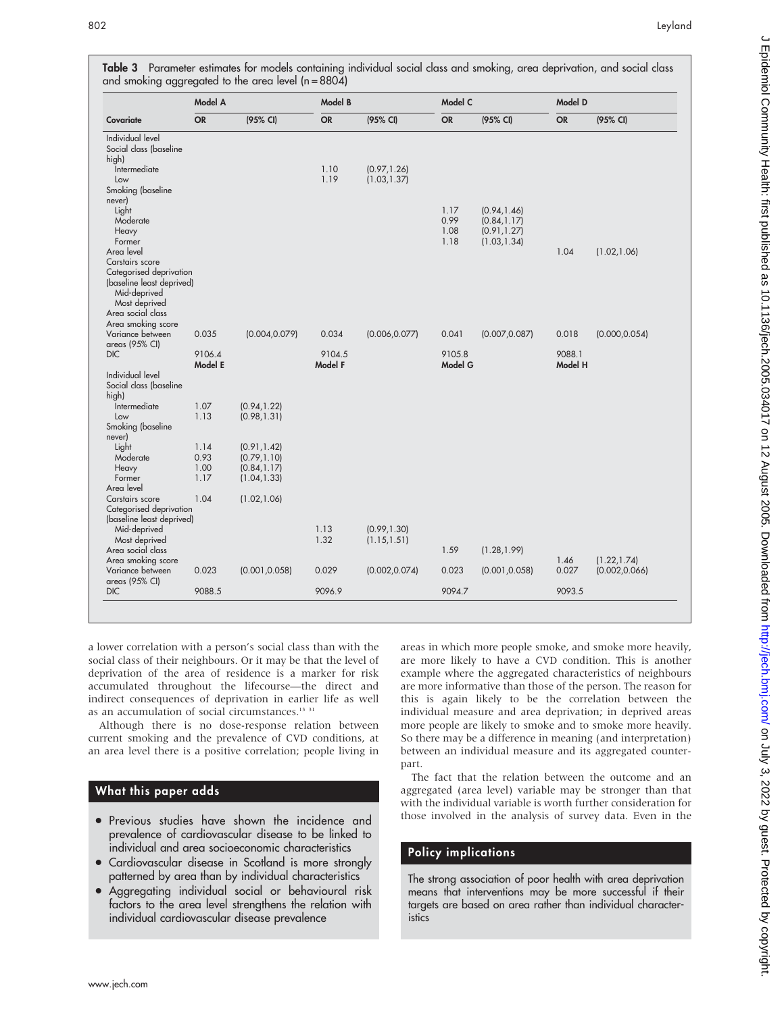| Covariate                         | Model A   |                | Model B   |                              | Model C      |                              | Model D   |                |
|-----------------------------------|-----------|----------------|-----------|------------------------------|--------------|------------------------------|-----------|----------------|
|                                   | <b>OR</b> | (95% CI)       | <b>OR</b> | (95% CI)                     | <b>OR</b>    | (95% CI)                     | <b>OR</b> | (95% CI)       |
| Individual level                  |           |                |           |                              |              |                              |           |                |
| Social class (baseline            |           |                |           |                              |              |                              |           |                |
| high)                             |           |                |           |                              |              |                              |           |                |
| Intermediate                      |           |                | 1.10      | (0.97, 1.26)                 |              |                              |           |                |
| Low                               |           |                | 1.19      | (1.03, 1.37)                 |              |                              |           |                |
| Smoking (baseline                 |           |                |           |                              |              |                              |           |                |
| never)                            |           |                |           |                              |              |                              |           |                |
| Light                             |           |                |           |                              | 1.17<br>0.99 | (0.94, 1.46)                 |           |                |
| Moderate                          |           |                |           |                              | 1.08         | (0.84, 1.17)                 |           |                |
| Heavy<br>Former                   |           |                |           |                              | 1.18         | (0.91, 1.27)<br>(1.03, 1.34) |           |                |
| Area level                        |           |                |           |                              |              |                              | 1.04      | (1.02, 1.06)   |
| Carstairs score                   |           |                |           |                              |              |                              |           |                |
| Categorised deprivation           |           |                |           |                              |              |                              |           |                |
| (baseline least deprived)         |           |                |           |                              |              |                              |           |                |
| Mid-deprived                      |           |                |           |                              |              |                              |           |                |
| Most deprived                     |           |                |           |                              |              |                              |           |                |
| Area social class                 |           |                |           |                              |              |                              |           |                |
| Area smoking score                |           |                |           |                              |              |                              |           |                |
| Variance between                  | 0.035     | (0.004, 0.079) | 0.034     | (0.006, 0.077)               | 0.041        | (0.007, 0.087)               | 0.018     | (0.000, 0.054) |
| areas (95% CI)                    |           |                |           |                              |              |                              |           |                |
| <b>DIC</b>                        | 9106.4    |                | 9104.5    |                              | 9105.8       |                              | 9088.1    |                |
|                                   | Model E   |                | Model F   |                              | Model G      |                              | Model H   |                |
| Individual level                  |           |                |           |                              |              |                              |           |                |
| Social class (baseline            |           |                |           |                              |              |                              |           |                |
| high)                             |           |                |           |                              |              |                              |           |                |
| <i><u><b>Intermediate</b></u></i> | 1.07      | (0.94, 1.22)   |           |                              |              |                              |           |                |
| Low                               | 1.13      | (0.98, 1.31)   |           |                              |              |                              |           |                |
| Smoking (baseline                 |           |                |           |                              |              |                              |           |                |
| never)                            |           |                |           |                              |              |                              |           |                |
| Light                             | 1.14      | (0.91, 1.42)   |           |                              |              |                              |           |                |
| Moderate                          | 0.93      | (0.79, 1.10)   |           |                              |              |                              |           |                |
| Heavy                             | 1.00      | (0.84, 1.17)   |           |                              |              |                              |           |                |
| Former                            | 1.17      | (1.04, 1.33)   |           |                              |              |                              |           |                |
| Area level                        |           |                |           |                              |              |                              |           |                |
| Carstairs score                   | 1.04      | (1.02, 1.06)   |           |                              |              |                              |           |                |
| Categorised deprivation           |           |                |           |                              |              |                              |           |                |
| (baseline least deprived)         |           |                | 1.13      |                              |              |                              |           |                |
| Mid-deprived<br>Most deprived     |           |                | 1.32      | (0.99, 1.30)<br>(1.15, 1.51) |              |                              |           |                |
| Area social class                 |           |                |           |                              | 1.59         | (1.28, 1.99)                 |           |                |
| Area smoking score                |           |                |           |                              |              |                              | 1.46      | (1.22, 1.74)   |
| Variance between                  | 0.023     | (0.001, 0.058) | 0.029     | (0.002, 0.074)               | 0.023        | (0.001, 0.058)               | 0.027     | (0.002, 0.066) |
| areas (95% CI)                    |           |                |           |                              |              |                              |           |                |
|                                   |           |                |           |                              |              |                              |           |                |

**Table 3** Parameter estimates for models containing individual social class and smoking, area deprivation, and social class

a lower correlation with a person's social class than with the social class of their neighbours. Or it may be that the level of deprivation of the area of residence is a marker for risk accumulated throughout the lifecourse—the direct and indirect consequences of deprivation in earlier life as well as an accumulation of social circumstances.<sup>13 31</sup>

Although there is no dose-response relation between current smoking and the prevalence of CVD conditions, at an area level there is a positive correlation; people living in

## What this paper adds

- Previous studies have shown the incidence and prevalence of cardiovascular disease to be linked to individual and area socioeconomic characteristics
- Cardiovascular disease in Scotland is more strongly patterned by area than by individual characteristics
- N Aggregating individual social or behavioural risk factors to the area level strengthens the relation with individual cardiovascular disease prevalence

areas in which more people smoke, and smoke more heavily, are more likely to have a CVD condition. This is another example where the aggregated characteristics of neighbours are more informative than those of the person. The reason for this is again likely to be the correlation between the individual measure and area deprivation; in deprived areas more people are likely to smoke and to smoke more heavily. So there may be a difference in meaning (and interpretation) between an individual measure and its aggregated counterpart.

The fact that the relation between the outcome and an aggregated (area level) variable may be stronger than that with the individual variable is worth further consideration for those involved in the analysis of survey data. Even in the

## Policy implications

The strong association of poor health with area deprivation means that interventions may be more successful if their targets are based on area rather than individual characteristics